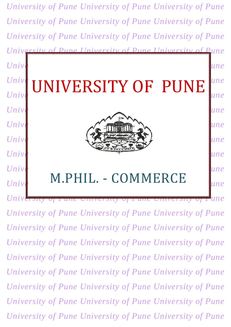

*University of Pune University of Pune University of Pune University of Pune University of Pune University of Pune University of Pune University of Pune University of Pune University of Pune University of Pune Universi University of Pune University of Pune University of Pune University of Pune University of Pune University of Pune University of Pune University of Pune University of Pune University of Pune University of Pune University of Pune University of Pune*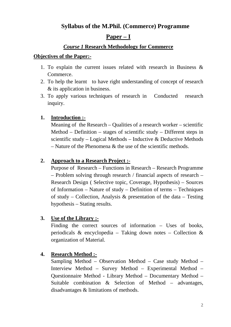# **Syllabus of the M.Phil. (Commerce) Programme**

# **Paper – I**

## *Course 1* **Research Methodology for Commerce**

#### **Objectives of the Paper:-**

- 1. To explain the current issues related with research in Business & Commerce.
- 2. To help the learnt to have right understanding of concept of research & its application in business.
- 3. To apply various techniques of research in Conducted research inquiry.

# **1. Introduction :-**

Meaning of the Research – Qualities of a research worker – scientific Method – Definition – stages of scientific study – Different steps in scientific study – Logical Methods – Inductive & Deductive Methods – Nature of the Phenomena & the use of the scientific methods.

## **2. Approach to a Research Project :-**

Purpose of Research – Functions in Research – Research Programme – Problem solving through research / financial aspects of research – Research Design ( Selective topic, Coverage, Hypothesis) – Sources of Information – Nature of study – Definition of terms – Techniques of study – Collection, Analysis & presentation of the data – Testing hypothesis – Stating results.

## **3. Use of the Library :-**

Finding the correct sources of information – Uses of books, periodicals & encyclopedia – Taking down notes – Collection & organization of Material.

## **4. Research Method :-**

Sampling Method – Observation Method – Case study Method – Interview Method – Survey Method – Experimental Method – Questionnaire Method - Library Method – Documentary Method – Suitable combination & Selection of Method – advantages, disadvantages & limitations of methods.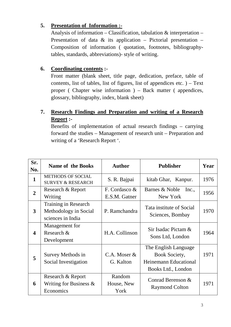# **5. Presentation of Information :-**

Analysis of information – Classification, tabulation  $\&$  interpretation – Presentation of data  $\&$  its application – Pictorial presentation – Composition of information ( quotation, footnotes, bibliographytables, standards, abbreviations)- style of writing.

# **6. Coordinating contents :-**

Front matter (blank sheet, title page, dedication, preface, table of contents, list of tables, list of figures, list of appendices etc.  $) - Text$ proper ( Chapter wise information ) – Back matter ( appendices, glossary, bibliography, index, blank sheet)

# **7. Research Findings and Preparation and writing of a Research Report :-**

Benefits of implementation of actual research findings – carrying forward the studies – Management of research unit – Preparation and writing of a 'Research Report '.

| Sr.              | <b>Name of the Books</b>                                           | <b>Author</b>                 | <b>Publisher</b>                                                                            | Year |
|------------------|--------------------------------------------------------------------|-------------------------------|---------------------------------------------------------------------------------------------|------|
| No.              |                                                                    |                               |                                                                                             |      |
| $\mathbf{1}$     | <b>METHODS OF SOCIAL</b><br><b>SURVEY &amp; RESEARCH</b>           | S. R. Bajpai                  | kitab Ghar, Kanpur.                                                                         | 1976 |
| $\overline{2}$   | Research & Report                                                  | F. Cordasco &                 | Barnes & Noble<br>Inc.,                                                                     | 1956 |
|                  | Writing                                                            | E.S.M. Gatner                 | New York                                                                                    |      |
| 3                | Training in Research<br>Methodology in Social<br>sciences in India | P. Ramchandra                 | Tata institute of Social<br>Sciences, Bombay                                                | 1970 |
| $\boldsymbol{4}$ | Management for<br>Research &<br>Development                        | H.A. Collinson                | Sir Isadac Pictam &<br>Sons Ltd, London                                                     | 1964 |
| 5                | Survey Methods in<br>Social Investigation                          | $C.A.$ Moser $&$<br>G. Kalton | The English Language<br><b>Book Society,</b><br>Heinemann Educational<br>Books Ltd., London | 1971 |
| 6                | Research & Report<br>Writing for Business $\&$<br>Economics        | Random<br>House, New<br>York  | Conrad Berenson &<br><b>Raymond Colton</b>                                                  | 1971 |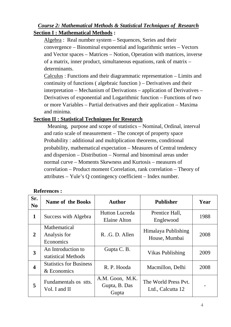# *Course 2: Mathematical Methods & Statistical Techniques of Research* **Section I : Mathematical Methods :**

Algebra : Real number system – Sequences, Series and their convergence – Binominal exponential and logarithmic series – Vectors and Vector spaces – Matrices – Notion, Operation with matrices, inverse of a matrix, inner product, simultaneous equations, rank of matrix – determinants.

Calculus : Functions and their diagrammatic representation – Limits and continuity of functions ( algebraic function ) – Derivatives and their interpretation – Mechanism of Derivations – application of Derivatives – Derivatives of exponential and Logarithmic function – Functions of two or more Variables – Partial derivatives and their application – Maxima and minima.

#### **Section II : Statistical Techniques for Research**

 Meaning, purpose and scope of statistics – Nominal, Ordinal, interval and ratio scale of measurement – The concept of property space Probability : additional and multiplication theorems, conditional probability, mathematical expectation – Measures of Central tendency and dispersion – Distribution – Normal and binominal areas under normal curve – Moments Skewness and Kurtosis – measures of correlation – Product moment Correlation, rank correlation – Theory of attributes – Yule's Q contingency coefficient – Index number.

| Sr.<br>N <sub>0</sub> | <b>Name of the Books</b>                      | <b>Author</b>                             | <b>Publisher</b>                          | Year |
|-----------------------|-----------------------------------------------|-------------------------------------------|-------------------------------------------|------|
| $\mathbf{1}$          | Success with Algebra                          | <b>Hutton Lucreda</b><br>Elaine Alton     | Prentice Hall,<br>Englewood               | 1988 |
| $\overline{2}$        | Mathematical<br>Analysis for<br>Economics     | R. G. D. Allen                            | Himalaya Publishing<br>House, Mumbai      | 2008 |
| 3                     | An Introduction to<br>statistical Methods     | Gupta C. B.                               | Vikas Publishing                          | 2009 |
| 4                     | <b>Statistics for Business</b><br>& Economics | R. P. Hooda                               | Macmillon, Delhi                          | 2008 |
| 5                     | Fundamentals os stts.<br>Vol. I and II        | A.M. Goon, M.K.<br>Gupta, B. Das<br>Gupta | The World Press Pvt.<br>Ltd., Calcutta 12 |      |

#### **References :**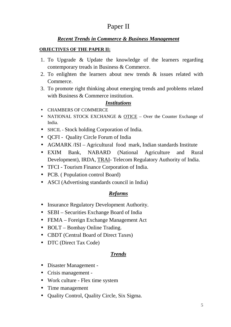# Paper II

# *Recent Trends in Commerce & Business Management*

#### **OBJECTIVES OF THE PAPER II:**

- 1. To Upgrade & Update the knowledge of the learners regarding contemporary treads in Business & Commerce.
- 2. To enlighten the learners about new trends & issues related with Commerce.
- 3. To promote right thinking about emerging trends and problems related with Business & Commerce institution.

#### *Institutions*

- CHAMBERS OF COMMERCE
- NATIONAL STOCK EXCHANGE & OTICE Over the Counter Exchange of India.
- SHCIL Stock holding Corporation of India.
- QCFI Quality Circle Forum of India
- AGMARK /ISI Agricultural food mark, Indian standards Institute
- EXIM Bank, NABARD (National Agriculture and Rural Development), IRDA, TRAI- Telecom Regulatory Authority of India.
- TFCI Tourism Finance Corporation of India.
- PCB. (Population control Board)
- ASCI (Advertising standards council in India)

## *Reforms*

- Insurance Regulatory Development Authority.
- SEBI Securities Exchange Board of India
- FEMA Foreign Exchange Management Act
- BOLT Bombay Online Trading.
- CBDT (Central Board of Direct Taxes)
- DTC (Direct Tax Code)

## *Trends*

- Disaster Management -
- Crisis management -
- Work culture Flex time system
- Time management
- Ouality Control, Quality Circle, Six Sigma.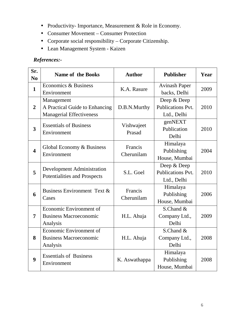- Productivity- Importance, Measurement & Role in Economy.
- Consumer Movement Consumer Protection
- Corporate social responsibility Corporate Citizenship.
- Lean Management System Kaizen

# *References:-*

| Sr.<br>N <sub>0</sub>   | <b>Name of the Books</b>                 | <b>Author</b>         | <b>Publisher</b>         | Year |
|-------------------------|------------------------------------------|-----------------------|--------------------------|------|
| $\mathbf{1}$            | Economics & Business                     | K.A. Rasure           | <b>Avinash Paper</b>     | 2009 |
|                         | Environment                              |                       | backs, Delhi             |      |
|                         | Management                               | D.B.N.Murthy          | Deep & Deep              |      |
| $\overline{2}$          | A Practical Guide to Enhancing           |                       | Publications Pvt.        | 2010 |
|                         | <b>Managerial Effectiveness</b>          |                       | Ltd., Delhi              |      |
| 3                       | <b>Essentials of Business</b>            | Vishwajeet<br>Prasad  | genNEXT                  |      |
|                         | Environment                              |                       | Publication              | 2010 |
|                         |                                          |                       | Delhi                    |      |
|                         | Global Economy & Business<br>Environment | Francis<br>Cherunilam | Himalaya                 |      |
| $\overline{\mathbf{4}}$ |                                          |                       | Publishing               | 2004 |
|                         |                                          |                       | House, Mumbai            |      |
|                         | <b>Development Administration</b>        | S.L. Goel             | Deep & Deep              |      |
| 5                       | Potentialities and Prospects             |                       | <b>Publications Pvt.</b> | 2010 |
|                         |                                          |                       | Ltd., Delhi              |      |
|                         | Business Environment Text &              | Francis<br>Cherunilam | Himalaya                 |      |
| 6                       | Cases                                    |                       | Publishing               | 2006 |
|                         |                                          |                       | House, Mumbai            |      |
| 7                       | Economic Environment of                  |                       | S.Chand &                |      |
|                         | <b>Business Macroeconomic</b>            | H.L. Ahuja            | Company Ltd.,            | 2009 |
|                         | Analysis                                 |                       | Delhi                    |      |
| 8                       | Economic Environment of                  |                       | S.Chand &                |      |
|                         | <b>Business Macroeconomic</b>            | H.L. Ahuja            | Company Ltd.,            | 2008 |
|                         | Analysis                                 |                       | Delhi                    |      |
| 9                       | <b>Essentials of Business</b>            |                       | Himalaya                 |      |
|                         | Environment                              | K. Aswathappa         | Publishing               | 2008 |
|                         |                                          |                       | House, Mumbai            |      |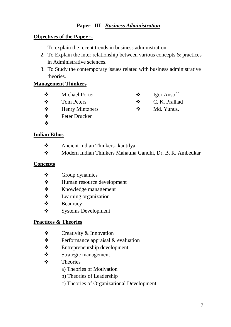# **Paper –III** *Business Administration*

#### **Objectives of the Paper :-**

- 1. To explain the recent trends in business administration.
- 2. To Explain the inter relationship between various concepts & practices in Administrative sciences.
- 3. To Study the contemporary issues related with business administrative theories.

 C. K. Pralhad Md. Yunus.

## **Management Thinkers**

- Michael Porter Igor Ansoff
- ❖ Tom Peters
- Henry Mintzbers
- Peter Drucker
- $\bullet^{\bullet}_{\bullet}$

#### **Indian Ethos**

- Ancient Indian Thinkers- kautilya
- Modern Indian Thinkers Mahatma Gandhi, Dr. B. R. Ambedkar

#### **Concepts**

- $\triangle$  Group dynamics
- Human resource development
- Knowledge management
- Learning organization
- Beauracy
- Systems Development

## **Practices & Theories**

- Creativity & Innovation
- $\triangle$  Performance appraisal & evaluation
- Entrepreneurship development
- Strategic management
- **\*** Theories
	- a) Theories of Motivation
	- b) Theories of Leadership
	- c) Theories of Organizational Development